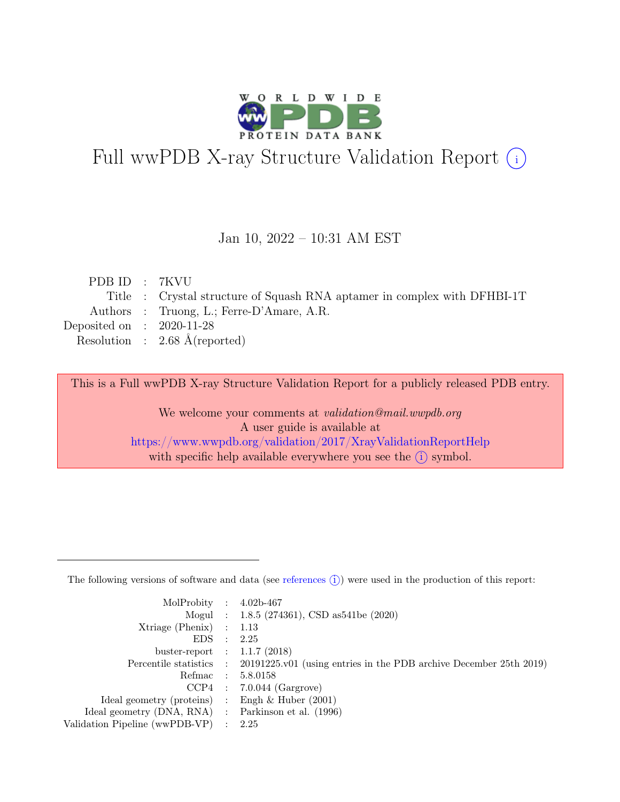

# Full wwPDB X-ray Structure Validation Report  $(i)$

#### Jan 10, 2022 – 10:31 AM EST

| PDB ID: 7KVU                |                                                                          |
|-----------------------------|--------------------------------------------------------------------------|
|                             | Title : Crystal structure of Squash RNA aptamer in complex with DFHBI-1T |
|                             | Authors : Truong, L.; Ferre-D'Amare, A.R.                                |
| Deposited on : $2020-11-28$ |                                                                          |
|                             | Resolution : $2.68 \text{ Å}$ (reported)                                 |
|                             |                                                                          |

This is a Full wwPDB X-ray Structure Validation Report for a publicly released PDB entry.

We welcome your comments at validation@mail.wwpdb.org A user guide is available at <https://www.wwpdb.org/validation/2017/XrayValidationReportHelp> with specific help available everywhere you see the  $(i)$  symbol.

The following versions of software and data (see [references](https://www.wwpdb.org/validation/2017/XrayValidationReportHelp#references)  $(i)$ ) were used in the production of this report:

| MolProbity : $4.02b-467$                            |                                                                                            |
|-----------------------------------------------------|--------------------------------------------------------------------------------------------|
|                                                     | Mogul : $1.8.5$ (274361), CSD as 541be (2020)                                              |
| $Xtriangle (Phenix)$ : 1.13                         |                                                                                            |
| EDS : 2.25                                          |                                                                                            |
| buster-report : $1.1.7$ (2018)                      |                                                                                            |
|                                                     | Percentile statistics : 20191225.v01 (using entries in the PDB archive December 25th 2019) |
|                                                     | Refmac : 5.8.0158                                                                          |
|                                                     | $CCP4$ : 7.0.044 (Gargrove)                                                                |
| Ideal geometry (proteins) : Engh $\&$ Huber (2001)  |                                                                                            |
| Ideal geometry (DNA, RNA) : Parkinson et al. (1996) |                                                                                            |
| Validation Pipeline (wwPDB-VP) : $2.25$             |                                                                                            |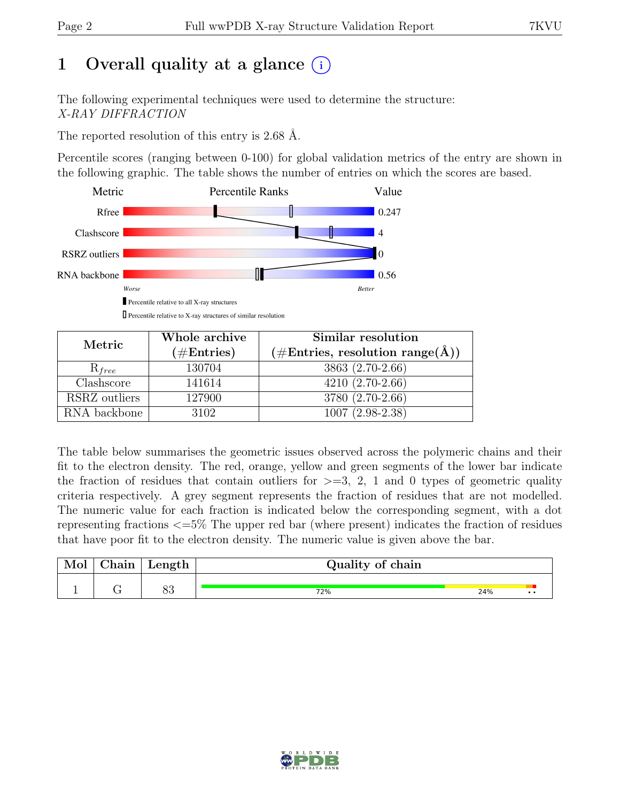# 1 Overall quality at a glance  $(i)$

The following experimental techniques were used to determine the structure: X-RAY DIFFRACTION

The reported resolution of this entry is 2.68 Å.

Percentile scores (ranging between 0-100) for global validation metrics of the entry are shown in the following graphic. The table shows the number of entries on which the scores are based.



 $\Box$  Percentile relative to X-ray structures of similar resolution

| Metric        | Whole archive        | Similar resolution                                  |  |  |  |  |
|---------------|----------------------|-----------------------------------------------------|--|--|--|--|
|               | $(\#\text{Entries})$ | $(\# \text{Entries}, \text{resolution range}(\AA))$ |  |  |  |  |
| $R_{free}$    | 130704               | 3863 (2.70-2.66)                                    |  |  |  |  |
| Clashscore    | 141614               | $4210(2.70-2.66)$                                   |  |  |  |  |
| RSRZ outliers | 127900               | 3780 (2.70-2.66)                                    |  |  |  |  |
| RNA backbone  | 3102                 | $1007(2.98-2.38)$                                   |  |  |  |  |

The table below summarises the geometric issues observed across the polymeric chains and their fit to the electron density. The red, orange, yellow and green segments of the lower bar indicate the fraction of residues that contain outliers for  $\geq$ =3, 2, 1 and 0 types of geometric quality criteria respectively. A grey segment represents the fraction of residues that are not modelled. The numeric value for each fraction is indicated below the corresponding segment, with a dot representing fractions <=5% The upper red bar (where present) indicates the fraction of residues that have poor fit to the electron density. The numeric value is given above the bar.

| Mol | ${\rm Chain}$ | Length  | Quality of chain |     |  |
|-----|---------------|---------|------------------|-----|--|
|     |               | ດດ<br>ೕ | 72%              | 24% |  |

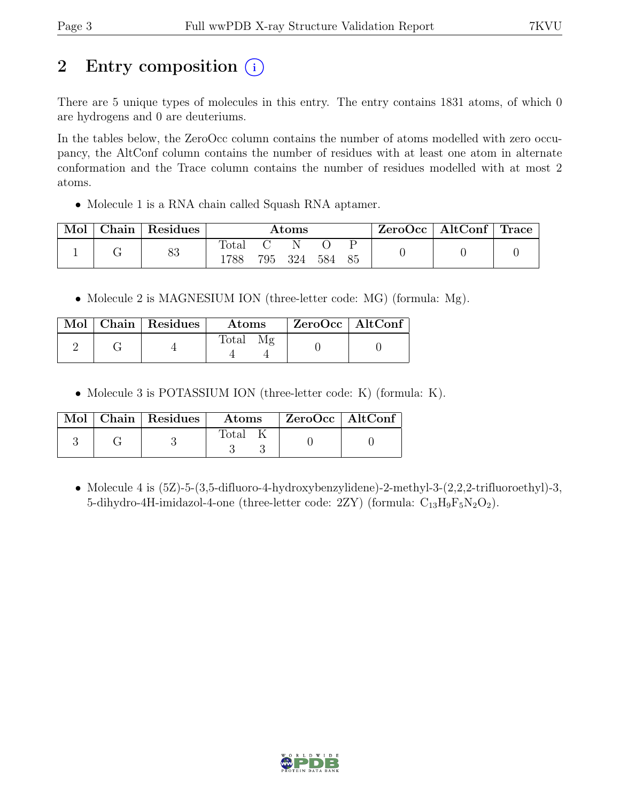# 2 Entry composition (i)

There are 5 unique types of molecules in this entry. The entry contains 1831 atoms, of which 0 are hydrogens and 0 are deuteriums.

In the tables below, the ZeroOcc column contains the number of atoms modelled with zero occupancy, the AltConf column contains the number of residues with at least one atom in alternate conformation and the Trace column contains the number of residues modelled with at most 2 atoms.

• Molecule 1 is a RNA chain called Squash RNA aptamer.

| Mol | Chain Residues | $\rm{Atoms}$  |  |         | $\text{ZeroOcc}$   AltConf   Trace |  |  |  |
|-----|----------------|---------------|--|---------|------------------------------------|--|--|--|
|     | 83             | Total<br>1788 |  | 795 324 | 584 85                             |  |  |  |

• Molecule 2 is MAGNESIUM ION (three-letter code: MG) (formula: Mg).

|  | Mol   Chain   Residues | <b>Atoms</b> | ZeroOcc   AltConf |  |
|--|------------------------|--------------|-------------------|--|
|  |                        | <b>Total</b> |                   |  |

• Molecule 3 is POTASSIUM ION (three-letter code: K) (formula: K).

|  | $\text{Mol}$   Chain   Residues | $\boldsymbol{\mathrm{Atoms}}$ | $ZeroOcc \   \$ AltConf |  |
|--|---------------------------------|-------------------------------|-------------------------|--|
|  |                                 | Total                         |                         |  |

• Molecule 4 is  $(5Z)$ -5- $(3,5$ -difluoro-4-hydroxybenzylidene)-2-methyl-3- $(2,2,2$ -trifluoroethyl)-3, 5-dihydro-4H-imidazol-4-one (three-letter code:  $2ZY$ ) (formula:  $C_{13}H_9F_5N_2O_2$ ).

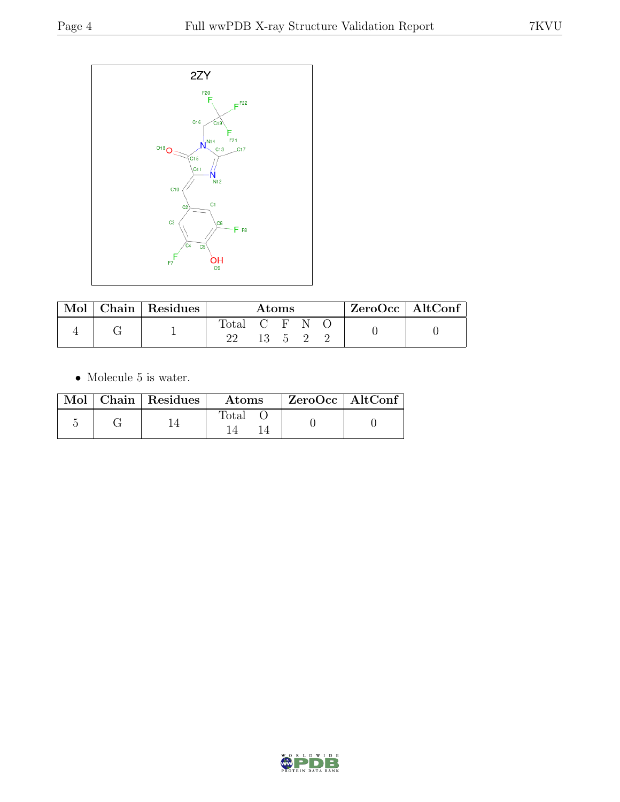

| $\operatorname{Mol}$ |  | Chain   Residues | Atoms |    |  |       | ZeroOcc   AltConf |  |
|----------------------|--|------------------|-------|----|--|-------|-------------------|--|
|                      |  | $\text{Total}$   | CENC  |    |  |       |                   |  |
|                      |  |                  |       | 13 |  | - 5 2 |                   |  |

 $\bullet\,$  Molecule 5 is water.

|  | Mol   Chain   Residues | Atoms | $ZeroOcc \   \ AltConf$ |  |
|--|------------------------|-------|-------------------------|--|
|  |                        | Total |                         |  |

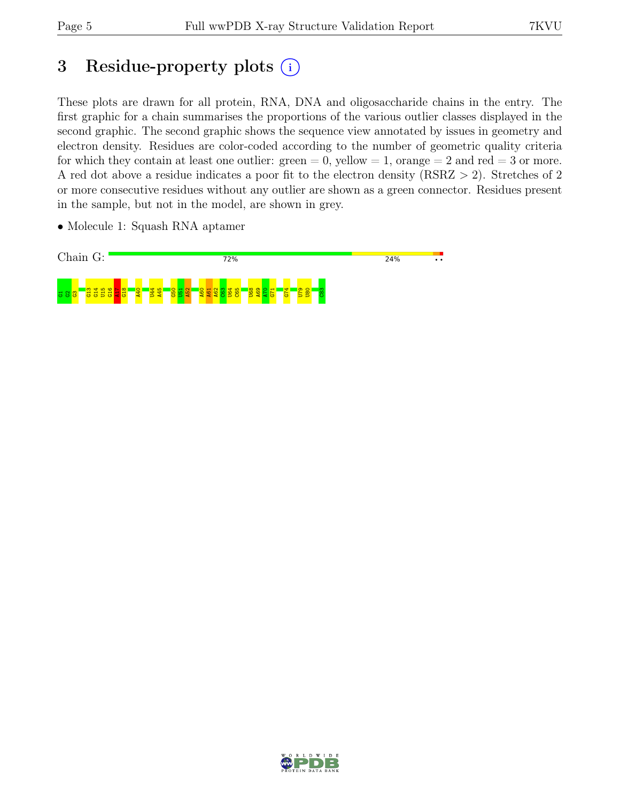## 3 Residue-property plots  $(i)$

These plots are drawn for all protein, RNA, DNA and oligosaccharide chains in the entry. The first graphic for a chain summarises the proportions of the various outlier classes displayed in the second graphic. The second graphic shows the sequence view annotated by issues in geometry and electron density. Residues are color-coded according to the number of geometric quality criteria for which they contain at least one outlier:  $green = 0$ , yellow  $= 1$ , orange  $= 2$  and red  $= 3$  or more. A red dot above a residue indicates a poor fit to the electron density (RSRZ > 2). Stretches of 2 or more consecutive residues without any outlier are shown as a green connector. Residues present in the sample, but not in the model, are shown in grey.

• Molecule 1: Squash RNA aptamer



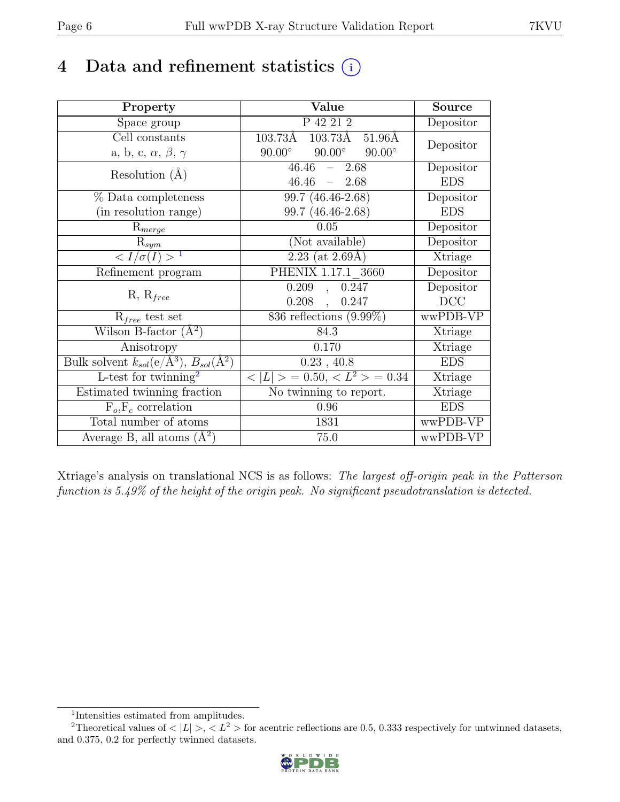## 4 Data and refinement statistics  $(i)$

| Property                                                             | Value                                                    | <b>Source</b> |
|----------------------------------------------------------------------|----------------------------------------------------------|---------------|
| Space group                                                          | P 42 21 2                                                | Depositor     |
| Cell constants                                                       | $103.73\AA$ $103.73\AA$ $51.96\AA$                       | Depositor     |
| a, b, c, $\alpha$ , $\beta$ , $\gamma$                               | $90.00^\circ$<br>$90.00^\circ$<br>$90.00^\circ$          |               |
| Resolution $(A)$                                                     | 46.46<br>2.68<br>$\equiv$ .                              | Depositor     |
|                                                                      | 46.46<br>$-2.68$                                         | <b>EDS</b>    |
| % Data completeness                                                  | 99.7 (46.46-2.68)                                        | Depositor     |
| (in resolution range)                                                | 99.7 (46.46-2.68)                                        | <b>EDS</b>    |
| $R_{merge}$                                                          | 0.05                                                     | Depositor     |
| $R_{sym}$                                                            | (Not available)                                          | Depositor     |
| $\langle I/\sigma(I) \rangle$ <sup>1</sup>                           | $2.23$ (at 2.69Å)                                        | Xtriage       |
| Refinement program                                                   | PHENIX 1.17.1 3660                                       | Depositor     |
|                                                                      | 0.209<br>0.247<br>$\overline{a}$                         | Depositor     |
| $R, R_{free}$                                                        | $0.208$ ,<br>0.247                                       | DCC           |
| $R_{free}$ test set                                                  | 836 reflections $(9.99\%)$                               | wwPDB-VP      |
| Wilson B-factor $(A^2)$                                              | 84.3                                                     | Xtriage       |
| Anisotropy                                                           | 0.170                                                    | Xtriage       |
| Bulk solvent $k_{sol}(e/\mathring{A}^3)$ , $B_{sol}(\mathring{A}^2)$ | $0.23$ , 40.8                                            | <b>EDS</b>    |
| L-test for twinning <sup>2</sup>                                     | $\langle  L  \rangle = 0.50, \langle L^2 \rangle = 0.34$ | Xtriage       |
| Estimated twinning fraction                                          | No twinning to report.                                   | Xtriage       |
| $\overline{F_o,F_c}$ correlation                                     | 0.96                                                     | <b>EDS</b>    |
| Total number of atoms                                                | 1831                                                     | wwPDB-VP      |
| Average B, all atoms $(A^2)$                                         | 75.0                                                     | wwPDB-VP      |

Xtriage's analysis on translational NCS is as follows: The largest off-origin peak in the Patterson function is 5.49% of the height of the origin peak. No significant pseudotranslation is detected.

<sup>&</sup>lt;sup>2</sup>Theoretical values of  $\langle |L| \rangle$ ,  $\langle L^2 \rangle$  for acentric reflections are 0.5, 0.333 respectively for untwinned datasets, and 0.375, 0.2 for perfectly twinned datasets.



<span id="page-5-1"></span><span id="page-5-0"></span><sup>1</sup> Intensities estimated from amplitudes.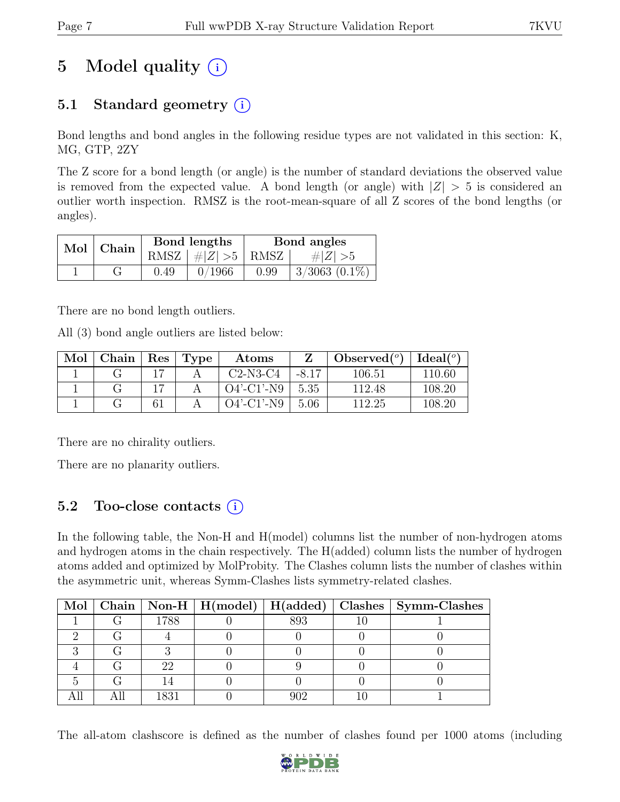# 5 Model quality  $(i)$

### 5.1 Standard geometry  $(i)$

Bond lengths and bond angles in the following residue types are not validated in this section: K, MG, GTP, 2ZY

The Z score for a bond length (or angle) is the number of standard deviations the observed value is removed from the expected value. A bond length (or angle) with  $|Z| > 5$  is considered an outlier worth inspection. RMSZ is the root-mean-square of all Z scores of the bond lengths (or angles).

| Mol | $^{\shortmid}$ Chain |      | Bond lengths                 | Bond angles |                    |  |
|-----|----------------------|------|------------------------------|-------------|--------------------|--|
|     |                      |      | RMSZ $\mid \#Z \mid >5$ RMSZ |             | # $ Z  > 5$        |  |
|     |                      | 0.49 | 0/1966                       | 0.99        | $3/3063$ $(0.1\%)$ |  |

There are no bond length outliers.

All (3) bond angle outliers are listed below:

| Mol | ${\rm Chain \mid}$ | $\operatorname{Res}$ | $\Gamma$ Type | Atoms         |         | Observed $(°)$ | Ideal $(^\circ)$ |
|-----|--------------------|----------------------|---------------|---------------|---------|----------------|------------------|
|     |                    |                      |               | $C2-N3-C4$    | $-8.17$ | 106.51         | 110.60           |
|     |                    |                      |               | $O4'$ -C1'-N9 | 5.35    | 112.48         | 108.20           |
|     |                    | 61                   |               | $O4'$ -C1'-N9 | 5.06    | 112.25         | $108.20\,$       |

There are no chirality outliers.

There are no planarity outliers.

### 5.2 Too-close contacts (i)

In the following table, the Non-H and H(model) columns list the number of non-hydrogen atoms and hydrogen atoms in the chain respectively. The H(added) column lists the number of hydrogen atoms added and optimized by MolProbity. The Clashes column lists the number of clashes within the asymmetric unit, whereas Symm-Clashes lists symmetry-related clashes.

|  |         |     | Mol   Chain   Non-H   H(model)   H(added)   Clashes   Symm-Clashes |
|--|---------|-----|--------------------------------------------------------------------|
|  | 1788    | 893 |                                                                    |
|  |         |     |                                                                    |
|  |         |     |                                                                    |
|  | 22      |     |                                                                    |
|  |         |     |                                                                    |
|  | 1 Q Q 1 |     |                                                                    |

The all-atom clashscore is defined as the number of clashes found per 1000 atoms (including

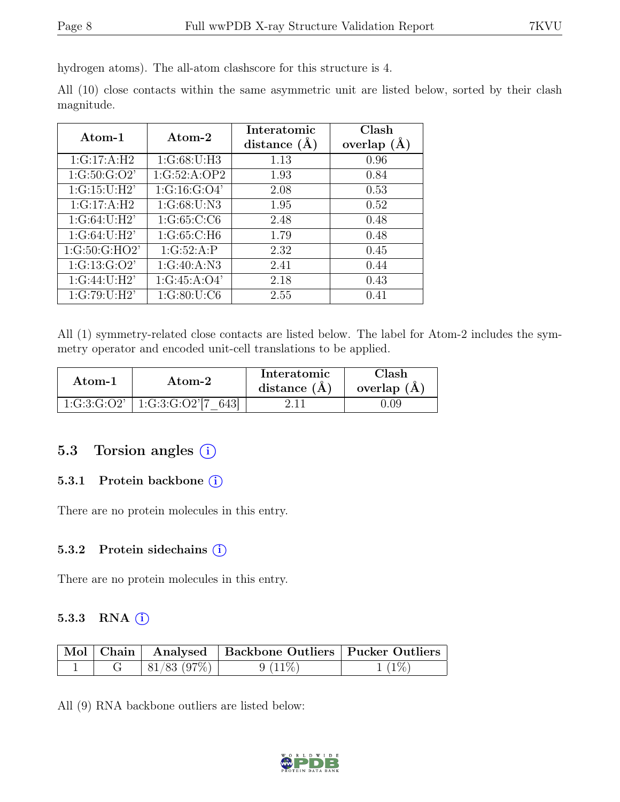hydrogen atoms). The all-atom clashscore for this structure is 4.

All (10) close contacts within the same asymmetric unit are listed below, sorted by their clash magnitude.

| Atom-1                   | Atom-2       | Interatomic    | Clash         |  |
|--------------------------|--------------|----------------|---------------|--|
|                          |              | distance $(A)$ | overlap $(A)$ |  |
| $1:G:17:A:\overline{H2}$ | 1:G:68:U:H3  | 1.13           | 0.96          |  |
| 1:G:50:G:O2'             | 1:G:52:A:OP2 | 1.93           | 0.84          |  |
| 1:G:15:U:H2'             | 1:G:16:G:O4' | 2.08           | 0.53          |  |
| 1:G:17:A:H2              | 1:G:68:U:N3  | 1.95           | 0.52          |  |
| 1:G:64:U:H2'             | 1:G:65:C:CG  | 2.48           | 0.48          |  |
| 1:G:64:U:H2'             | 1:G:65:C:H6  | 1.79           | 0.48          |  |
| 1:G:50:G:HO2'            | 1:G:52:A:P   | 2.32           | 0.45          |  |
| 1:G:13:G:O2'             | 1:G:40:A:N3  | 2.41           | 0.44          |  |
| 1:G:44:U:H2'             | 1:G:45:A:O4' | 2.18           | 0.43          |  |
| 1:G:79:U:H2'             | 1:G:80:U:C6  | 2.55           | 0.41          |  |

All (1) symmetry-related close contacts are listed below. The label for Atom-2 includes the symmetry operator and encoded unit-cell translations to be applied.

| Atom-1      | Atom-2                     | Interatomic<br>distance $(A)$ | 7lash.<br>overlap $(A)$ |
|-------------|----------------------------|-------------------------------|-------------------------|
| 1:G:3:G:O2' | $1:G:3:G:O2^{7}[7]$<br>643 |                               | ).09                    |

#### 5.3 Torsion angles (i)

#### 5.3.1 Protein backbone (i)

There are no protein molecules in this entry.

#### 5.3.2 Protein sidechains (i)

There are no protein molecules in this entry.

#### 5.3.3 RNA  $(i)$

|  |            | Mol   Chain   Analysed   Backbone Outliers   Pucker Outliers |          |
|--|------------|--------------------------------------------------------------|----------|
|  | 81/83(97%) | $9(11\%)$                                                    | $1(1\%)$ |

All (9) RNA backbone outliers are listed below:

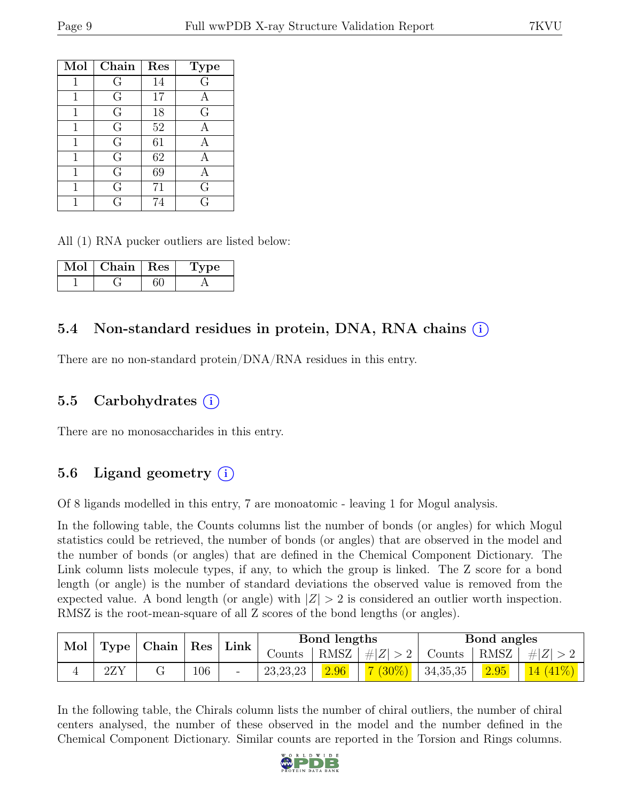| Mol          | Chain          | Res             | <b>Type</b>    |
|--------------|----------------|-----------------|----------------|
|              | G              | 14              | $\overline{G}$ |
| 1            | G              | 17              | А              |
| $\mathbf{1}$ | G              | 18              | G              |
| 1            | $\overline{G}$ | $\overline{52}$ |                |
| 1            | G              | 61              | А              |
| $\mathbf{1}$ | $\overline{G}$ | 62              |                |
| 1            | G              | 69              |                |
| 1            | G              | 71              | G              |
|              | G              | 74              | G              |

All (1) RNA pucker outliers are listed below:

| Mol | Chain | $\mathbb{R}$ es | rpe |
|-----|-------|-----------------|-----|
|     |       |                 |     |

### 5.4 Non-standard residues in protein, DNA, RNA chains (i)

There are no non-standard protein/DNA/RNA residues in this entry.

#### 5.5 Carbohydrates (i)

There are no monosaccharides in this entry.

### 5.6 Ligand geometry  $(i)$

Of 8 ligands modelled in this entry, 7 are monoatomic - leaving 1 for Mogul analysis.

In the following table, the Counts columns list the number of bonds (or angles) for which Mogul statistics could be retrieved, the number of bonds (or angles) that are observed in the model and the number of bonds (or angles) that are defined in the Chemical Component Dictionary. The Link column lists molecule types, if any, to which the group is linked. The Z score for a bond length (or angle) is the number of standard deviations the observed value is removed from the expected value. A bond length (or angle) with  $|Z| > 2$  is considered an outlier worth inspection. RMSZ is the root-mean-square of all Z scores of the bond lengths (or angles).

| Mol<br>Type |             | $\alpha$ Chain   Res   Link |     |        | Bond lengths |         |          | <b>Bond</b> angles |         |      |
|-------------|-------------|-----------------------------|-----|--------|--------------|---------|----------|--------------------|---------|------|
|             |             |                             |     | Counts | RMSZ         | #Z  > 2 | Counts   | $\pm$ RMSZ $\pm$   | $\# Z $ |      |
|             | $2{\rm ZY}$ |                             | 106 | -      | 23, 23, 23   | 2.96    | $(30\%)$ | 34,35,35           | 2.95    | 14 I |

In the following table, the Chirals column lists the number of chiral outliers, the number of chiral centers analysed, the number of these observed in the model and the number defined in the Chemical Component Dictionary. Similar counts are reported in the Torsion and Rings columns.

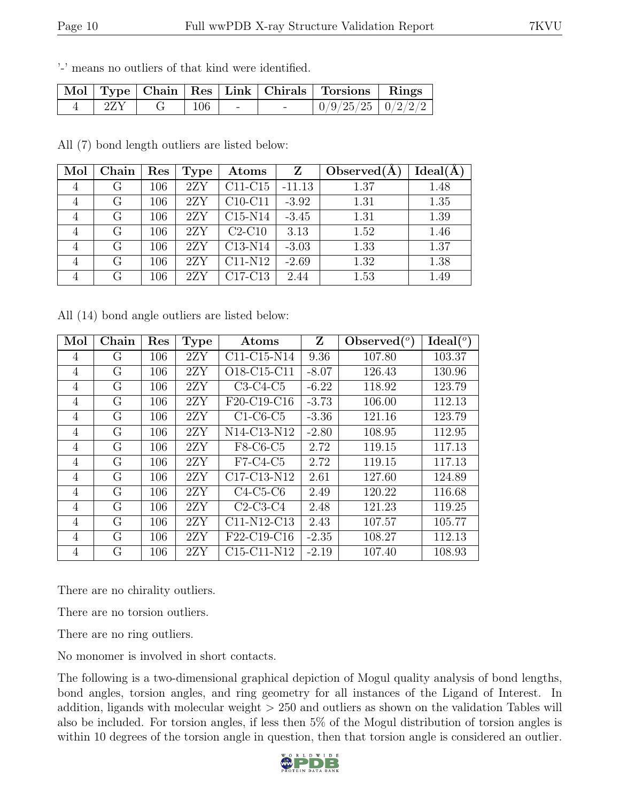'-' means no outliers of that kind were identified.

|             |  |  | Mol   Type   Chain   Res   Link   Chirals   Torsions   Rings |  |
|-------------|--|--|--------------------------------------------------------------|--|
| $2{\rm ZY}$ |  |  | $\mid 0/9/25/25 \mid 0/2/2/2 \mid$                           |  |

All (7) bond length outliers are listed below:

| Mol            | Chain | Res | Type | Atoms                            | $\mathbf{Z}$ | Observed $(A)$ | Ideal(A) |
|----------------|-------|-----|------|----------------------------------|--------------|----------------|----------|
| $\overline{4}$ | G     | 106 | 2ZY  | C <sub>11</sub> -C <sub>15</sub> | $-11.13$     | 1.37           | 1.48     |
| 4              | G     | 106 | 2ZY  | $C10-C11$                        | $-3.92$      | 1.31           | 1.35     |
| $\overline{4}$ | G     | 106 | 2ZY  | $C15-N14$                        | $-3.45$      | 1.31           | 1.39     |
| 4              | G     | 106 | 2ZY  | $C2-C10$                         | 3.13         | 1.52           | 1.46     |
| $\overline{4}$ | G     | 106 | 2ZY  | C <sub>13</sub> -N <sub>14</sub> | $-3.03$      | 1.33           | 1.37     |
| $\overline{4}$ | G     | 106 | 2ZY  | C <sub>11</sub> -N <sub>12</sub> | $-2.69$      | 1.32           | 1.38     |
| $\overline{4}$ | G     | 106 | 2ZY  | C <sub>17</sub> -C <sub>13</sub> | 2.44         | 1.53           | 1.49     |

All (14) bond angle outliers are listed below:

| Mol            | Chain | Res | <b>Type</b> | Atoms                                             | Z       | Observed $(°)$ | Ideal <sup>(o)</sup> |
|----------------|-------|-----|-------------|---------------------------------------------------|---------|----------------|----------------------|
| 4              | G     | 106 | 2ZY         | $C11-C15-N14$                                     | 9.36    | 107.80         | 103.37               |
| 4              | G     | 106 | 2ZY         | O18-C15-C11                                       | $-8.07$ | 126.43         | 130.96               |
| 4              | G     | 106 | 2ZY         | $C3-C4-C5$                                        | $-6.22$ | 118.92         | 123.79               |
| 4              | G     | 106 | 2ZY         | F20-C19-C16                                       | $-3.73$ | 106.00         | 112.13               |
| 4              | G     | 106 | 2ZY         | $C1-C6-C5$                                        | $-3.36$ | 121.16         | 123.79               |
| 4              | G     | 106 | 2ZY         | N14-C13-N12                                       | $-2.80$ | 108.95         | 112.95               |
| 4              | G     | 106 | 2ZY         | F8-C6-C5                                          | 2.72    | 119.15         | 117.13               |
| $\overline{4}$ | G     | 106 | 2ZY         | $F7-C4-C5$                                        | 2.72    | 119.15         | 117.13               |
| 4              | G     | 106 | 2ZY         | C <sub>17</sub> -C <sub>13</sub> -N <sub>12</sub> | 2.61    | 127.60         | 124.89               |
| 4              | G     | 106 | 2ZY         | $C4-C5-C6$                                        | 2.49    | 120.22         | 116.68               |
| 4              | G     | 106 | 2ZY         | $C2-C3-C4$                                        | 2.48    | 121.23         | 119.25               |
| 4              | G     | 106 | 2ZY         | C11-N12-C13                                       | 2.43    | 107.57         | 105.77               |
| 4              | G     | 106 | 2ZY         | F22-C19-C16                                       | $-2.35$ | 108.27         | 112.13               |
| 4              | G     | 106 | 2ZY         | C15-C11-N12                                       | $-2.19$ | 107.40         | 108.93               |

There are no chirality outliers.

There are no torsion outliers.

There are no ring outliers.

No monomer is involved in short contacts.

The following is a two-dimensional graphical depiction of Mogul quality analysis of bond lengths, bond angles, torsion angles, and ring geometry for all instances of the Ligand of Interest. In addition, ligands with molecular weight  $> 250$  and outliers as shown on the validation Tables will also be included. For torsion angles, if less then 5% of the Mogul distribution of torsion angles is within 10 degrees of the torsion angle in question, then that torsion angle is considered an outlier.

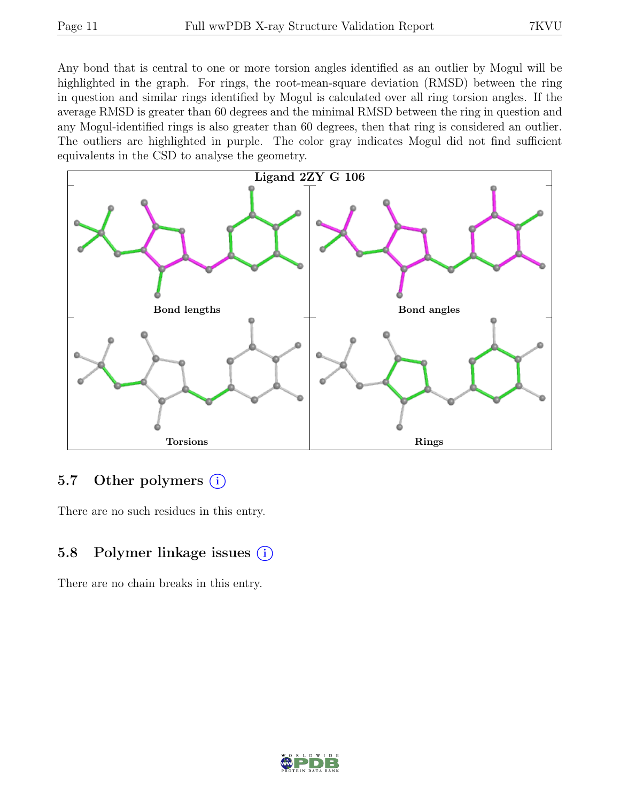Any bond that is central to one or more torsion angles identified as an outlier by Mogul will be highlighted in the graph. For rings, the root-mean-square deviation (RMSD) between the ring in question and similar rings identified by Mogul is calculated over all ring torsion angles. If the average RMSD is greater than 60 degrees and the minimal RMSD between the ring in question and any Mogul-identified rings is also greater than 60 degrees, then that ring is considered an outlier. The outliers are highlighted in purple. The color gray indicates Mogul did not find sufficient equivalents in the CSD to analyse the geometry.



#### 5.7 Other polymers (i)

There are no such residues in this entry.

### 5.8 Polymer linkage issues  $(i)$

There are no chain breaks in this entry.

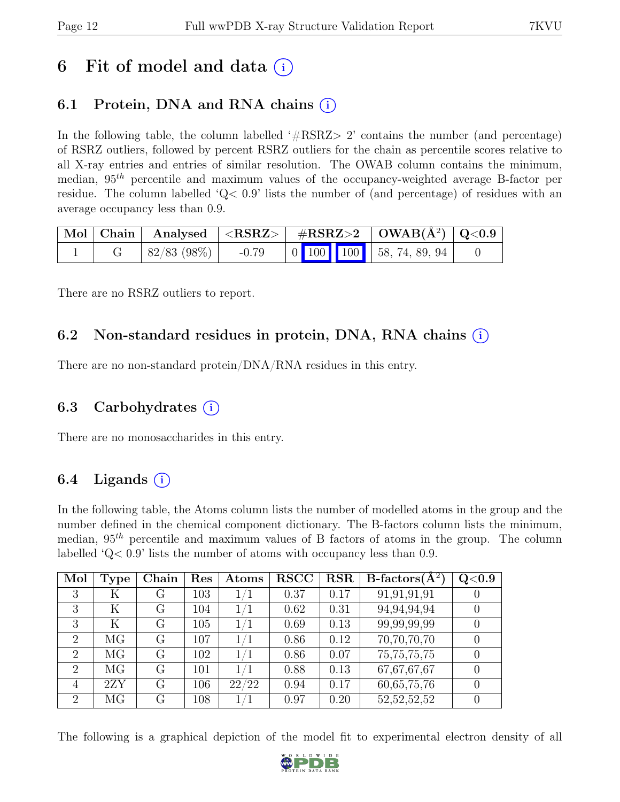## 6 Fit of model and data  $(i)$

### 6.1 Protein, DNA and RNA chains  $(i)$

In the following table, the column labelled  $#RSRZ>2$  contains the number (and percentage) of RSRZ outliers, followed by percent RSRZ outliers for the chain as percentile scores relative to all X-ray entries and entries of similar resolution. The OWAB column contains the minimum, median,  $95<sup>th</sup>$  percentile and maximum values of the occupancy-weighted average B-factor per residue. The column labelled ' $Q<.9$ ' lists the number of (and percentage) of residues with an average occupancy less than 0.9.

|  |                      |  | $\mid$ Mol $\mid$ Chain $\mid$ Analysed $\mid$ <rsrz> <math>\mid</math> #RSRZ&gt;2 <math>\mid</math> OWAB(Å<sup>2</sup>) <math>\mid</math> Q&lt;0.9 <math>\mid</math></rsrz> |  |
|--|----------------------|--|------------------------------------------------------------------------------------------------------------------------------------------------------------------------------|--|
|  | $ 82/83 (98%)$ -0.79 |  | $\begin{array}{ c c c c c c c c c } \hline 0 & 100 & 100 & 58, 74, 89, 94 \hline \end{array}$                                                                                |  |

There are no RSRZ outliers to report.

#### 6.2 Non-standard residues in protein, DNA, RNA chains (i)

There are no non-standard protein/DNA/RNA residues in this entry.

#### 6.3 Carbohydrates (i)

There are no monosaccharides in this entry.

#### 6.4 Ligands  $(i)$

In the following table, the Atoms column lists the number of modelled atoms in the group and the number defined in the chemical component dictionary. The B-factors column lists the minimum, median,  $95<sup>th</sup>$  percentile and maximum values of B factors of atoms in the group. The column labelled 'Q< 0.9' lists the number of atoms with occupancy less than 0.9.

| Mol                         | Type | Chain | Res | Atoms | <b>RSCC</b> | <b>RSR</b> | $B\text{-factors}(\overline{A^2})$ | Q <sub>0.9</sub> |
|-----------------------------|------|-------|-----|-------|-------------|------------|------------------------------------|------------------|
| 3                           | Κ    | G     | 103 | 1/1   | 0.37        | 0.17       | 91,91,91,91                        |                  |
| 3                           | K    | G     | 104 | 1/1   | 0.62        | 0.31       | 94,94,94,94                        |                  |
| 3                           | Κ    | G     | 105 | 1/1   | 0.69        | 0.13       | 99,99,99,99                        |                  |
| $\overline{2}$              | MG   | G     | 107 | 1/1   | 0.86        | 0.12       | 70,70,70,70                        |                  |
| $\mathcal{D}_{\mathcal{L}}$ | MG   | G     | 102 | 1/1   | 0.86        | 0.07       | 75, 75, 75, 75                     |                  |
| $\overline{2}$              | MG   | G     | 101 | 1/1   | 0.88        | 0.13       | 67,67,67,67                        |                  |
| 4                           | 2ZY  | G     | 106 | 22/22 | 0.94        | 0.17       | 60, 65, 75, 76                     |                  |
| 2                           | MG   | G     | 108 | /1    | 0.97        | 0.20       | 52, 52, 52, 52                     |                  |

The following is a graphical depiction of the model fit to experimental electron density of all